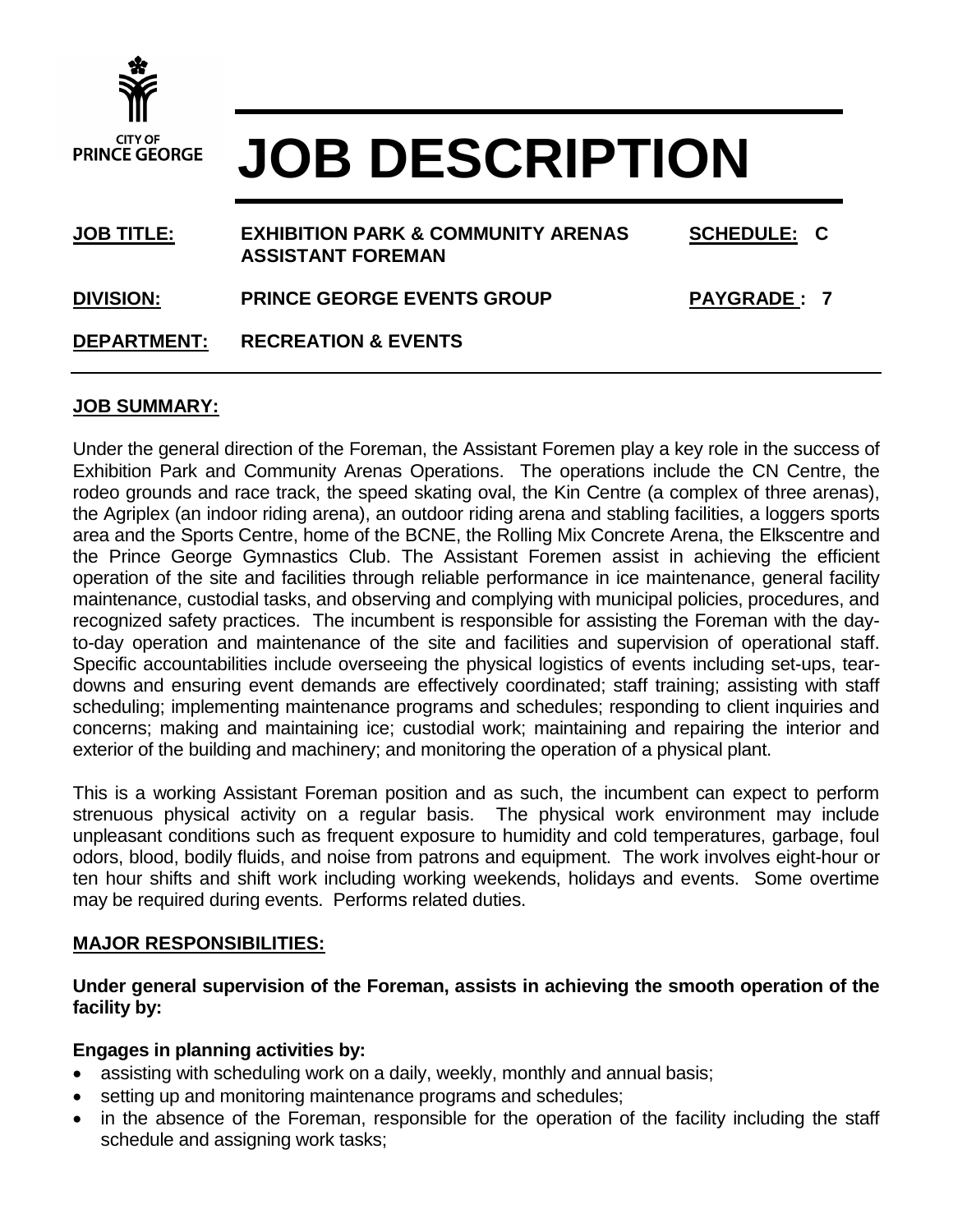

# **JOB DESCRIPTION**

| <b>JOB TITLE:</b>  | <b>EXHIBITION PARK &amp; COMMUNITY ARENAS</b><br><b>ASSISTANT FOREMAN</b> | <b>SCHEDULE: C</b> |
|--------------------|---------------------------------------------------------------------------|--------------------|
| <b>DIVISION:</b>   | <b>PRINCE GEORGE EVENTS GROUP</b>                                         | <b>PAYGRADE: 7</b> |
| <b>DEPARTMENT:</b> | <b>RECREATION &amp; EVENTS</b>                                            |                    |

## **JOB SUMMARY:**

Under the general direction of the Foreman, the Assistant Foremen play a key role in the success of Exhibition Park and Community Arenas Operations. The operations include the CN Centre, the rodeo grounds and race track, the speed skating oval, the Kin Centre (a complex of three arenas), the Agriplex (an indoor riding arena), an outdoor riding arena and stabling facilities, a loggers sports area and the Sports Centre, home of the BCNE, the Rolling Mix Concrete Arena, the Elkscentre and the Prince George Gymnastics Club. The Assistant Foremen assist in achieving the efficient operation of the site and facilities through reliable performance in ice maintenance, general facility maintenance, custodial tasks, and observing and complying with municipal policies, procedures, and recognized safety practices. The incumbent is responsible for assisting the Foreman with the dayto-day operation and maintenance of the site and facilities and supervision of operational staff. Specific accountabilities include overseeing the physical logistics of events including set-ups, teardowns and ensuring event demands are effectively coordinated; staff training; assisting with staff scheduling; implementing maintenance programs and schedules; responding to client inquiries and concerns; making and maintaining ice; custodial work; maintaining and repairing the interior and exterior of the building and machinery; and monitoring the operation of a physical plant.

This is a working Assistant Foreman position and as such, the incumbent can expect to perform strenuous physical activity on a regular basis. The physical work environment may include unpleasant conditions such as frequent exposure to humidity and cold temperatures, garbage, foul odors, blood, bodily fluids, and noise from patrons and equipment. The work involves eight-hour or ten hour shifts and shift work including working weekends, holidays and events. Some overtime may be required during events. Performs related duties.

#### **MAJOR RESPONSIBILITIES:**

**Under general supervision of the Foreman, assists in achieving the smooth operation of the facility by:**

## **Engages in planning activities by:**

- assisting with scheduling work on a daily, weekly, monthly and annual basis;
- setting up and monitoring maintenance programs and schedules;
- in the absence of the Foreman, responsible for the operation of the facility including the staff schedule and assigning work tasks;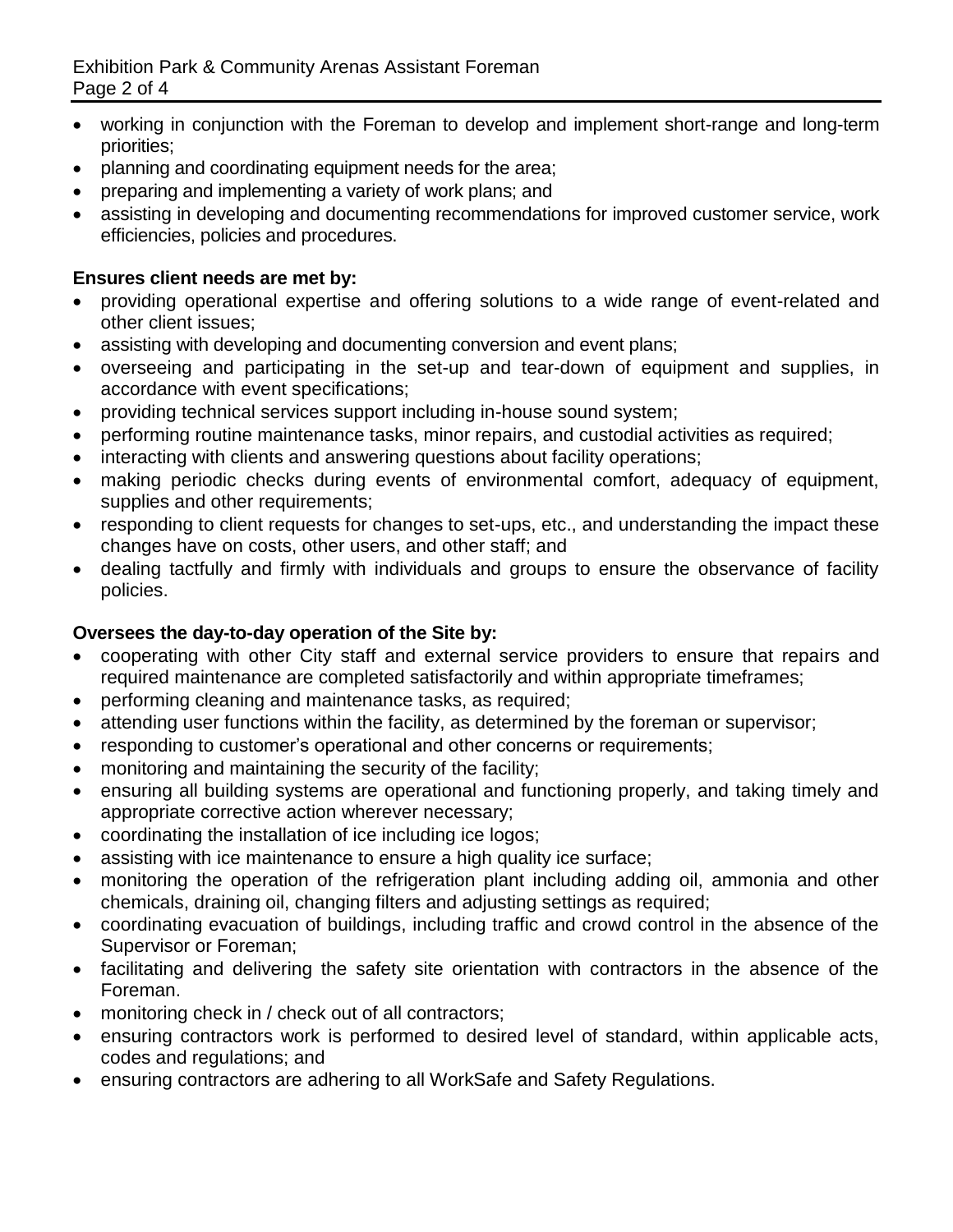- working in conjunction with the Foreman to develop and implement short-range and long-term priorities;
- planning and coordinating equipment needs for the area;
- preparing and implementing a variety of work plans; and
- assisting in developing and documenting recommendations for improved customer service, work efficiencies, policies and procedures.

# **Ensures client needs are met by:**

- providing operational expertise and offering solutions to a wide range of event-related and other client issues;
- assisting with developing and documenting conversion and event plans;
- overseeing and participating in the set-up and tear-down of equipment and supplies, in accordance with event specifications;
- providing technical services support including in-house sound system;
- performing routine maintenance tasks, minor repairs, and custodial activities as required;
- interacting with clients and answering questions about facility operations;
- making periodic checks during events of environmental comfort, adequacy of equipment, supplies and other requirements;
- responding to client requests for changes to set-ups, etc., and understanding the impact these changes have on costs, other users, and other staff; and
- dealing tactfully and firmly with individuals and groups to ensure the observance of facility policies.

# **Oversees the day-to-day operation of the Site by:**

- cooperating with other City staff and external service providers to ensure that repairs and required maintenance are completed satisfactorily and within appropriate timeframes;
- performing cleaning and maintenance tasks, as required;
- attending user functions within the facility, as determined by the foreman or supervisor;
- responding to customer's operational and other concerns or requirements;
- monitoring and maintaining the security of the facility;
- ensuring all building systems are operational and functioning properly, and taking timely and appropriate corrective action wherever necessary;
- coordinating the installation of ice including ice logos;
- assisting with ice maintenance to ensure a high quality ice surface;
- monitoring the operation of the refrigeration plant including adding oil, ammonia and other chemicals, draining oil, changing filters and adjusting settings as required;
- coordinating evacuation of buildings, including traffic and crowd control in the absence of the Supervisor or Foreman;
- facilitating and delivering the safety site orientation with contractors in the absence of the Foreman.
- monitoring check in / check out of all contractors;
- ensuring contractors work is performed to desired level of standard, within applicable acts, codes and regulations; and
- ensuring contractors are adhering to all WorkSafe and Safety Regulations.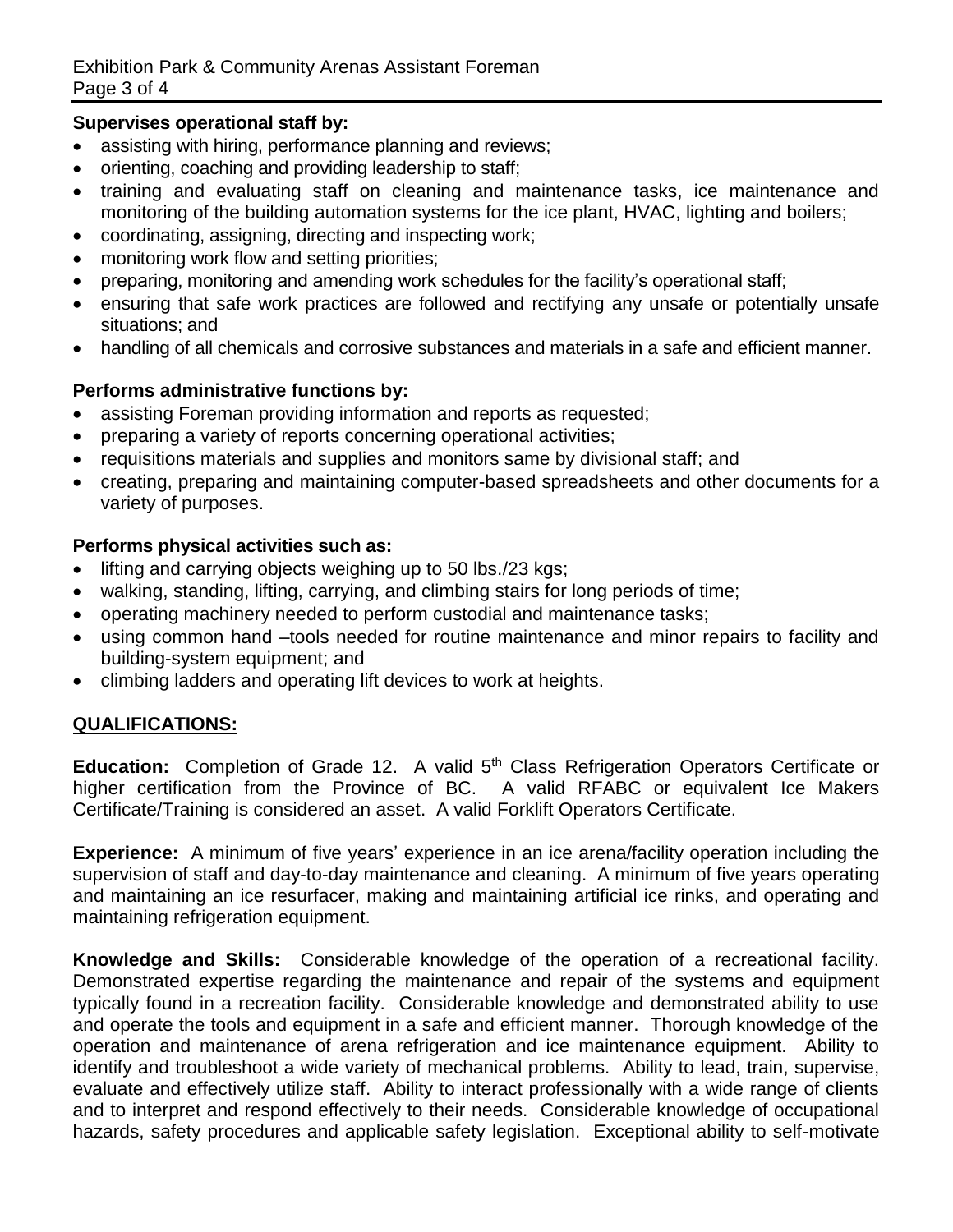## **Supervises operational staff by:**

- assisting with hiring, performance planning and reviews;
- orienting, coaching and providing leadership to staff;
- training and evaluating staff on cleaning and maintenance tasks, ice maintenance and monitoring of the building automation systems for the ice plant, HVAC, lighting and boilers;
- coordinating, assigning, directing and inspecting work;
- monitoring work flow and setting priorities;
- preparing, monitoring and amending work schedules for the facility's operational staff;
- ensuring that safe work practices are followed and rectifying any unsafe or potentially unsafe situations; and
- handling of all chemicals and corrosive substances and materials in a safe and efficient manner.

## **Performs administrative functions by:**

- assisting Foreman providing information and reports as requested;
- preparing a variety of reports concerning operational activities;
- requisitions materials and supplies and monitors same by divisional staff; and
- creating, preparing and maintaining computer-based spreadsheets and other documents for a variety of purposes.

## **Performs physical activities such as:**

- lifting and carrying objects weighing up to 50 lbs./23 kgs;
- walking, standing, lifting, carrying, and climbing stairs for long periods of time;
- operating machinery needed to perform custodial and maintenance tasks;
- using common hand –tools needed for routine maintenance and minor repairs to facility and building-system equipment; and
- climbing ladders and operating lift devices to work at heights.

## **QUALIFICATIONS:**

Education: Completion of Grade 12. A valid 5<sup>th</sup> Class Refrigeration Operators Certificate or higher certification from the Province of BC. A valid RFABC or equivalent Ice Makers Certificate/Training is considered an asset. A valid Forklift Operators Certificate.

**Experience:** A minimum of five years' experience in an ice arena/facility operation including the supervision of staff and day-to-day maintenance and cleaning. A minimum of five years operating and maintaining an ice resurfacer, making and maintaining artificial ice rinks, and operating and maintaining refrigeration equipment.

**Knowledge and Skills:** Considerable knowledge of the operation of a recreational facility. Demonstrated expertise regarding the maintenance and repair of the systems and equipment typically found in a recreation facility. Considerable knowledge and demonstrated ability to use and operate the tools and equipment in a safe and efficient manner. Thorough knowledge of the operation and maintenance of arena refrigeration and ice maintenance equipment. Ability to identify and troubleshoot a wide variety of mechanical problems. Ability to lead, train, supervise, evaluate and effectively utilize staff. Ability to interact professionally with a wide range of clients and to interpret and respond effectively to their needs. Considerable knowledge of occupational hazards, safety procedures and applicable safety legislation. Exceptional ability to self-motivate